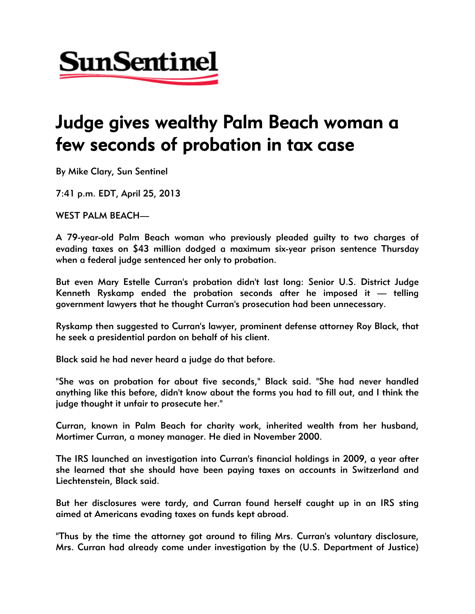

## Judge gives wealthy Palm Beach woman a few seconds of probation in tax case

By Mike Clary, Sun Sentinel

7:41 p.m. EDT, April 25, 2013

WEST PALM BEACH—

A 79-year-old Palm Beach woman who previously pleaded guilty to two charges of evading taxes on \$43 million dodged a maximum six-year prison sentence Thursday when a federal judge sentenced her only to probation.

But even Mary Estelle Curran's probation didn't last long: Senior U.S. District Judge Kenneth Ryskamp ended the probation seconds after he imposed it — telling government lawyers that he thought Curran's prosecution had been unnecessary.

Ryskamp then suggested to Curran's lawyer, prominent defense attorney Roy Black, that he seek a presidential pardon on behalf of his client.

Black said he had never heard a judge do that before.

"She was on probation for about five seconds," Black said. "She had never handled anything like this before, didn't know about the forms you had to fill out, and I think the judge thought it unfair to prosecute her."

Curran, known in Palm Beach for charity work, inherited wealth from her husband, Mortimer Curran, a money manager. He died in November 2000.

The IRS launched an investigation into Curran's financial holdings in 2009, a year after she learned that she should have been paying taxes on accounts in Switzerland and Liechtenstein, Black said.

But her disclosures were tardy, and Curran found herself caught up in an IRS sting aimed at Americans evading taxes on funds kept abroad.

"Thus by the time the attorney got around to filing Mrs. Curran's voluntary disclosure, Mrs. Curran had already come under investigation by the (U.S. Department of Justice)